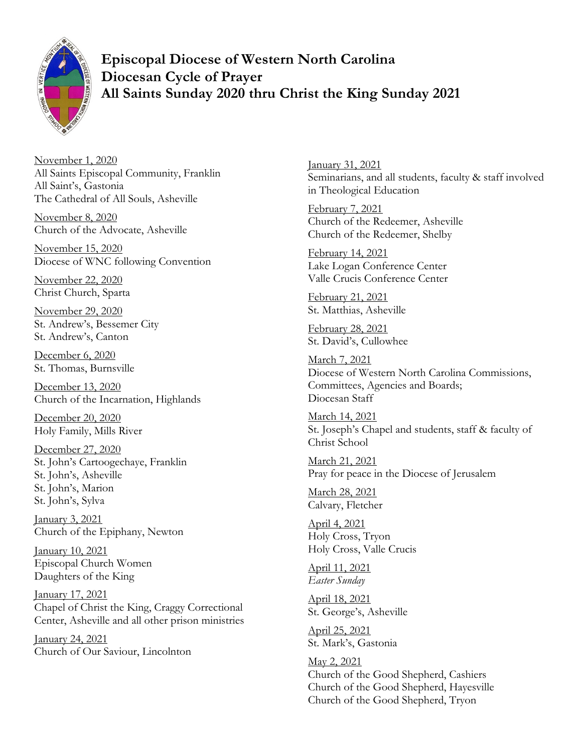

**Episcopal Diocese of Western North Carolina Diocesan Cycle of Prayer All Saints Sunday 2020 thru Christ the King Sunday 2021**

November 1, 2020 All Saints Episcopal Community, Franklin All Saint's, Gastonia The Cathedral of All Souls, Asheville

November 8, 2020 Church of the Advocate, Asheville

November 15, 2020 Diocese of WNC following Convention

November 22, 2020 Christ Church, Sparta

November 29, 2020 St. Andrew's, Bessemer City St. Andrew's, Canton

December 6, 2020 St. Thomas, Burnsville

December 13, 2020 Church of the Incarnation, Highlands

December 20, 2020 Holy Family, Mills River

December 27, 2020 St. John's Cartoogechaye, Franklin St. John's, Asheville St. John's, Marion St. John's, Sylva

January 3, 2021 Church of the Epiphany, Newton

January 10, 2021 Episcopal Church Women Daughters of the King

January 17, 2021 Chapel of Christ the King, Craggy Correctional Center, Asheville and all other prison ministries

January 24, 2021 Church of Our Saviour, Lincolnton January 31, 2021 Seminarians, and all students, faculty & staff involved in Theological Education

February 7, 2021 Church of the Redeemer, Asheville Church of the Redeemer, Shelby

February 14, 2021 Lake Logan Conference Center Valle Crucis Conference Center

February 21, 2021 St. Matthias, Asheville

February 28, 2021 St. David's, Cullowhee

March 7, 2021 Diocese of Western North Carolina Commissions, Committees, Agencies and Boards; Diocesan Staff

March 14, 2021 St. Joseph's Chapel and students, staff & faculty of Christ School

March 21, 2021 Pray for peace in the Diocese of Jerusalem

March 28, 2021 Calvary, Fletcher

April 4, 2021 Holy Cross, Tryon Holy Cross, Valle Crucis

April 11, 2021 *Easter Sunday*

April 18, 2021 St. George's, Asheville

April 25, 2021 St. Mark's, Gastonia

May 2, 2021 Church of the Good Shepherd, Cashiers Church of the Good Shepherd, Hayesville Church of the Good Shepherd, Tryon